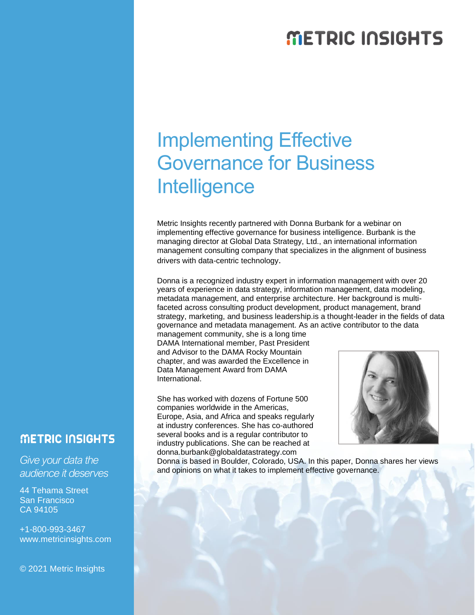## **METRIC INSIGHTS**

# Implementing Effective Governance for Business **Intelligence**

Metric Insights recently partnered with Donna Burbank for a webinar on implementing effective governance for business intelligence. Burbank is the managing director at Global Data Strategy, Ltd., an international information management consulting company that specializes in the alignment of business drivers with data-centric technology.

Donna is a recognized industry expert in information management with over 20 years of experience in data strategy, information management, data modeling, metadata management, and enterprise architecture. Her background is multifaceted across consulting product development, product management, brand strategy, marketing, and business leadership.is a thought-leader in the fields of data governance and metadata management. As an active contributor to the data

management community, she is a long time DAMA International member, Past President and Advisor to the DAMA Rocky Mountain chapter, and was awarded the Excellence in Data Management Award from DAMA International.

She has worked with dozens of Fortune 500 companies worldwide in the Americas, Europe, Asia, and Africa and speaks regularly at industry conferences. She has co-authored several books and is a regular contributor to industry publications. She can be reached at donna.burbank@globaldatastrategy.com



Donna is based in Boulder, Colorado, USA. In this paper, Donna shares her views and opinions on what it takes to implement effective governance.

### **METRIC INSIGHTS**

*Give your data the audience it deserves*

44 Tehama Street San Francisco CA 94105

+1-800-993-3467 www.metricinsights.com

© 2021 Metric Insights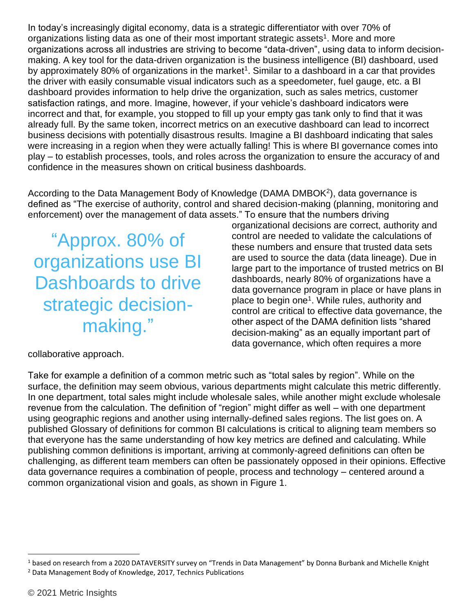In today's increasingly digital economy, data is a strategic differentiator with over 70% of organizations listing data as one of their most important strategic assets<sup>1</sup>. More and more organizations across all industries are striving to become "data-driven", using data to inform decisionmaking. A key tool for the data-driven organization is the business intelligence (BI) dashboard, used by approximately 80% of organizations in the market<sup>1</sup>. Similar to a dashboard in a car that provides the driver with easily consumable visual indicators such as a speedometer, fuel gauge, etc. a BI dashboard provides information to help drive the organization, such as sales metrics, customer satisfaction ratings, and more. Imagine, however, if your vehicle's dashboard indicators were incorrect and that, for example, you stopped to fill up your empty gas tank only to find that it was already full. By the same token, incorrect metrics on an executive dashboard can lead to incorrect business decisions with potentially disastrous results. Imagine a BI dashboard indicating that sales were increasing in a region when they were actually falling! This is where BI governance comes into play – to establish processes, tools, and roles across the organization to ensure the accuracy of and confidence in the measures shown on critical business dashboards.

According to the Data Management Body of Knowledge (DAMA DMBOK<sup>2</sup>), data governance is defined as "The exercise of authority, control and shared decision-making (planning, monitoring and enforcement) over the management of data assets." To ensure that the numbers driving

"Approx. 80% of organizations use BI Dashboards to drive strategic decisionmaking."

organizational decisions are correct, authority and control are needed to validate the calculations of these numbers and ensure that trusted data sets are used to source the data (data lineage). Due in large part to the importance of trusted metrics on BI dashboards, nearly 80% of organizations have a data governance program in place or have plans in place to begin one<sup>1</sup>. While rules, authority and control are critical to effective data governance, the other aspect of the DAMA definition lists "shared decision-making" as an equally important part of data governance, which often requires a more

collaborative approach.

Take for example a definition of a common metric such as "total sales by region". While on the surface, the definition may seem obvious, various departments might calculate this metric differently. In one department, total sales might include wholesale sales, while another might exclude wholesale revenue from the calculation. The definition of "region" might differ as well – with one department using geographic regions and another using internally-defined sales regions. The list goes on. A published Glossary of definitions for common BI calculations is critical to aligning team members so that everyone has the same understanding of how key metrics are defined and calculating. While publishing common definitions is important, arriving at commonly-agreed definitions can often be challenging, as different team members can often be passionately opposed in their opinions. Effective data governance requires a combination of people, process and technology – centered around a common organizational vision and goals, as shown in Figure 1.

<sup>1</sup> based on research from a 2020 DATAVERSITY survey on "Trends in Data Management" by Donna Burbank and Michelle Knight <sup>2</sup> Data Management Body of Knowledge, 2017, Technics Publications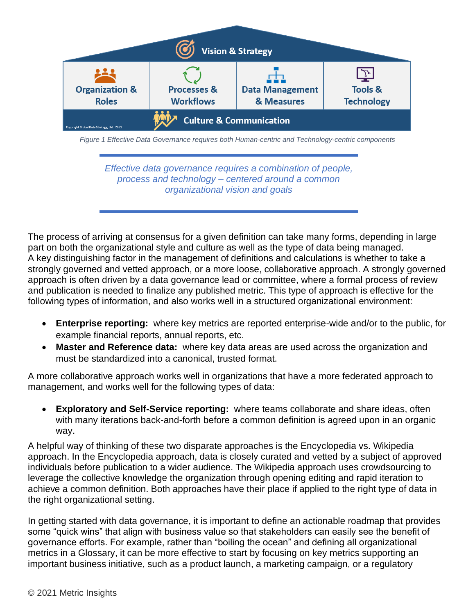

*Figure 1 Effective Data Governance requires both Human-centric and Technology-centric components*

*Effective data governance requires a combination of people, process and technology – centered around a common organizational vision and goals*

The process of arriving at consensus for a given definition can take many forms, depending in large part on both the organizational style and culture as well as the type of data being managed. A key distinguishing factor in the management of definitions and calculations is whether to take a strongly governed and vetted approach, or a more loose, collaborative approach. A strongly governed approach is often driven by a data governance lead or committee, where a formal process of review and publication is needed to finalize any published metric. This type of approach is effective for the following types of information, and also works well in a structured organizational environment:

- **Enterprise reporting:** where key metrics are reported enterprise-wide and/or to the public, for example financial reports, annual reports, etc.
- **Master and Reference data:** where key data areas are used across the organization and must be standardized into a canonical, trusted format.

A more collaborative approach works well in organizations that have a more federated approach to management, and works well for the following types of data:

**Exploratory and Self-Service reporting:** where teams collaborate and share ideas, often with many iterations back-and-forth before a common definition is agreed upon in an organic way.

A helpful way of thinking of these two disparate approaches is the Encyclopedia vs. Wikipedia approach. In the Encyclopedia approach, data is closely curated and vetted by a subject of approved individuals before publication to a wider audience. The Wikipedia approach uses crowdsourcing to leverage the collective knowledge the organization through opening editing and rapid iteration to achieve a common definition. Both approaches have their place if applied to the right type of data in the right organizational setting.

In getting started with data governance, it is important to define an actionable roadmap that provides some "quick wins" that align with business value so that stakeholders can easily see the benefit of governance efforts. For example, rather than "boiling the ocean" and defining all organizational metrics in a Glossary, it can be more effective to start by focusing on key metrics supporting an important business initiative, such as a product launch, a marketing campaign, or a regulatory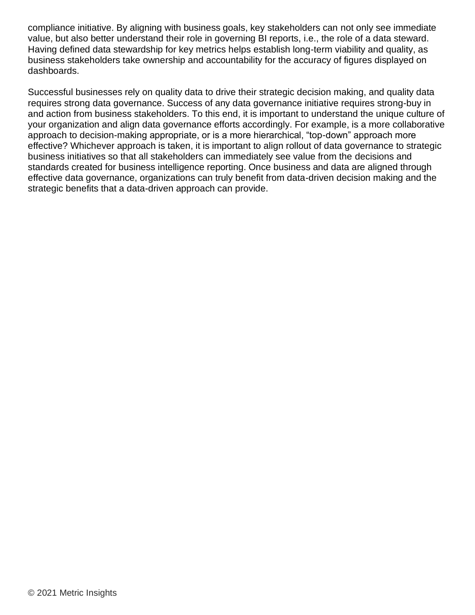compliance initiative. By aligning with business goals, key stakeholders can not only see immediate value, but also better understand their role in governing BI reports, i.e., the role of a data steward. Having defined data stewardship for key metrics helps establish long-term viability and quality, as business stakeholders take ownership and accountability for the accuracy of figures displayed on dashboards.

Successful businesses rely on quality data to drive their strategic decision making, and quality data requires strong data governance. Success of any data governance initiative requires strong-buy in and action from business stakeholders. To this end, it is important to understand the unique culture of your organization and align data governance efforts accordingly. For example, is a more collaborative approach to decision-making appropriate, or is a more hierarchical, "top-down" approach more effective? Whichever approach is taken, it is important to align rollout of data governance to strategic business initiatives so that all stakeholders can immediately see value from the decisions and standards created for business intelligence reporting. Once business and data are aligned through effective data governance, organizations can truly benefit from data-driven decision making and the strategic benefits that a data-driven approach can provide.